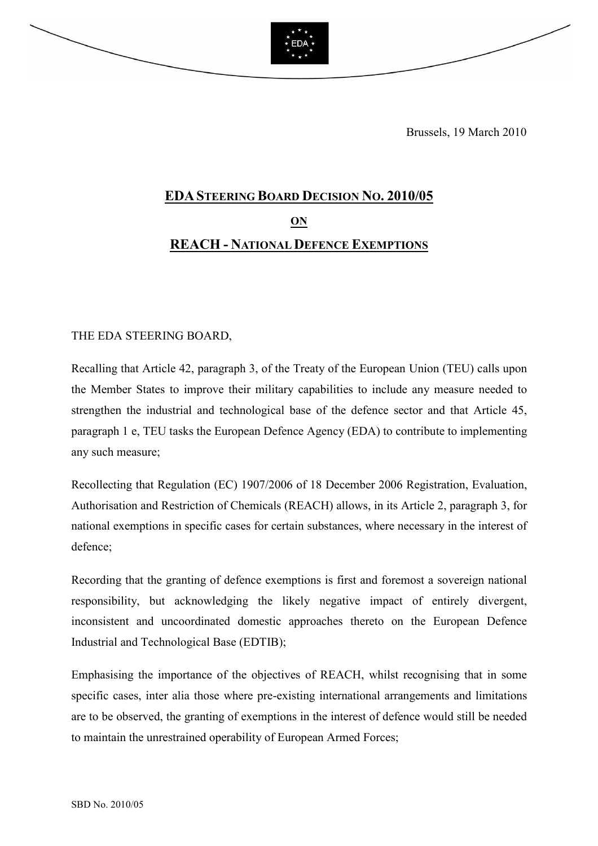

Brussels, 19 March 2010

## EDASTEERING BOARD DECISION NO. 2010/05 ON REACH - NATIONAL DEFENCE EXEMPTIONS

## THE EDA STEERING BOARD,

Recalling that Article 42, paragraph 3, of the Treaty of the European Union (TEU) calls upon the Member States to improve their military capabilities to include any measure needed to strengthen the industrial and technological base of the defence sector and that Article 45, paragraph 1 e, TEU tasks the European Defence Agency (EDA) to contribute to implementing any such measure;

Recollecting that Regulation (EC) 1907/2006 of 18 December 2006 Registration, Evaluation, Authorisation and Restriction of Chemicals (REACH) allows, in its Article 2, paragraph 3, for national exemptions in specific cases for certain substances, where necessary in the interest of defence;

Recording that the granting of defence exemptions is first and foremost a sovereign national responsibility, but acknowledging the likely negative impact of entirely divergent, inconsistent and uncoordinated domestic approaches thereto on the European Defence Industrial and Technological Base (EDTIB);

Emphasising the importance of the objectives of REACH, whilst recognising that in some specific cases, inter alia those where pre-existing international arrangements and limitations are to be observed, the granting of exemptions in the interest of defence would still be needed to maintain the unrestrained operability of European Armed Forces;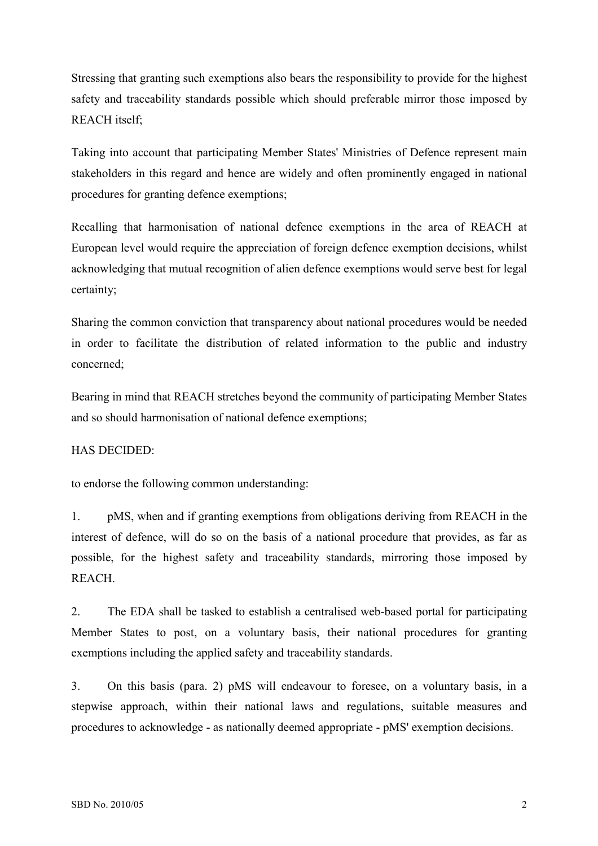Stressing that granting such exemptions also bears the responsibility to provide for the highest safety and traceability standards possible which should preferable mirror those imposed by REACH itself;

Taking into account that participating Member States' Ministries of Defence represent main stakeholders in this regard and hence are widely and often prominently engaged in national procedures for granting defence exemptions;

Recalling that harmonisation of national defence exemptions in the area of REACH at European level would require the appreciation of foreign defence exemption decisions, whilst acknowledging that mutual recognition of alien defence exemptions would serve best for legal certainty;

Sharing the common conviction that transparency about national procedures would be needed in order to facilitate the distribution of related information to the public and industry concerned;

Bearing in mind that REACH stretches beyond the community of participating Member States and so should harmonisation of national defence exemptions;

## HAS DECIDED:

to endorse the following common understanding:

1. pMS, when and if granting exemptions from obligations deriving from REACH in the interest of defence, will do so on the basis of a national procedure that provides, as far as possible, for the highest safety and traceability standards, mirroring those imposed by **REACH** 

2. The EDA shall be tasked to establish a centralised web-based portal for participating Member States to post, on a voluntary basis, their national procedures for granting exemptions including the applied safety and traceability standards.

3. On this basis (para. 2) pMS will endeavour to foresee, on a voluntary basis, in a stepwise approach, within their national laws and regulations, suitable measures and procedures to acknowledge - as nationally deemed appropriate - pMS' exemption decisions.